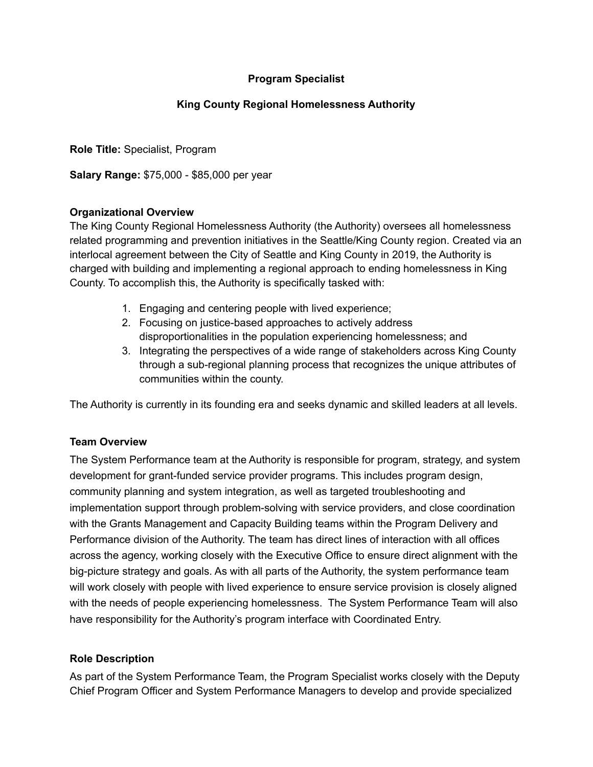# **Program Specialist**

# **King County Regional Homelessness Authority**

**Role Title:** Specialist, Program

**Salary Range:** \$75,000 - \$85,000 per year

#### **Organizational Overview**

The King County Regional Homelessness Authority (the Authority) oversees all homelessness related programming and prevention initiatives in the Seattle/King County region. Created via an interlocal agreement between the City of Seattle and King County in 2019, the Authority is charged with building and implementing a regional approach to ending homelessness in King County. To accomplish this, the Authority is specifically tasked with:

- 1. Engaging and centering people with lived experience;
- 2. Focusing on justice-based approaches to actively address disproportionalities in the population experiencing homelessness; and
- 3. Integrating the perspectives of a wide range of stakeholders across King County through a sub-regional planning process that recognizes the unique attributes of communities within the county.

The Authority is currently in its founding era and seeks dynamic and skilled leaders at all levels.

### **Team Overview**

The System Performance team at the Authority is responsible for program, strategy, and system development for grant-funded service provider programs. This includes program design, community planning and system integration, as well as targeted troubleshooting and implementation support through problem-solving with service providers, and close coordination with the Grants Management and Capacity Building teams within the Program Delivery and Performance division of the Authority. The team has direct lines of interaction with all offices across the agency, working closely with the Executive Office to ensure direct alignment with the big-picture strategy and goals. As with all parts of the Authority, the system performance team will work closely with people with lived experience to ensure service provision is closely aligned with the needs of people experiencing homelessness. The System Performance Team will also have responsibility for the Authority's program interface with Coordinated Entry.

#### **Role Description**

As part of the System Performance Team, the Program Specialist works closely with the Deputy Chief Program Officer and System Performance Managers to develop and provide specialized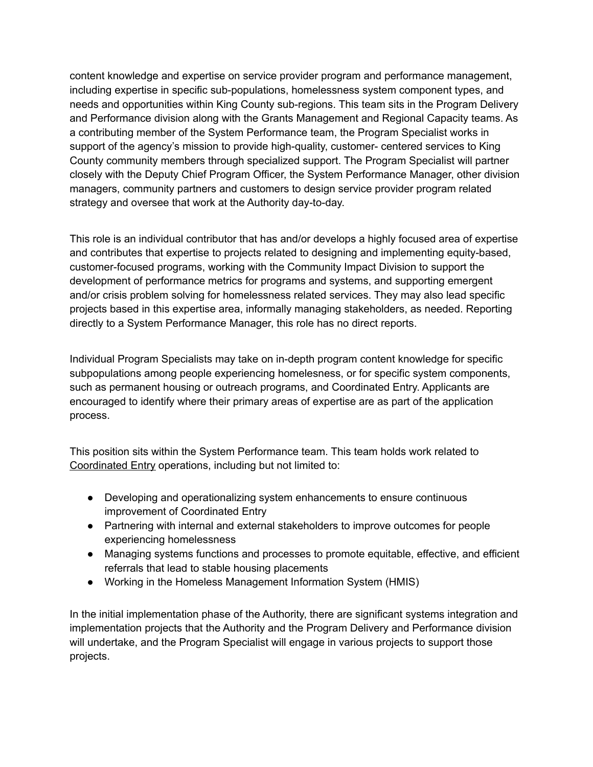content knowledge and expertise on service provider program and performance management, including expertise in specific sub-populations, homelessness system component types, and needs and opportunities within King County sub-regions. This team sits in the Program Delivery and Performance division along with the Grants Management and Regional Capacity teams. As a contributing member of the System Performance team, the Program Specialist works in support of the agency's mission to provide high-quality, customer- centered services to King County community members through specialized support. The Program Specialist will partner closely with the Deputy Chief Program Officer, the System Performance Manager, other division managers, community partners and customers to design service provider program related strategy and oversee that work at the Authority day-to-day.

This role is an individual contributor that has and/or develops a highly focused area of expertise and contributes that expertise to projects related to designing and implementing equity-based, customer-focused programs, working with the Community Impact Division to support the development of performance metrics for programs and systems, and supporting emergent and/or crisis problem solving for homelessness related services. They may also lead specific projects based in this expertise area, informally managing stakeholders, as needed. Reporting directly to a System Performance Manager, this role has no direct reports.

Individual Program Specialists may take on in-depth program content knowledge for specific subpopulations among people experiencing homelesness, or for specific system components, such as permanent housing or outreach programs, and Coordinated Entry. Applicants are encouraged to identify where their primary areas of expertise are as part of the application process.

This position sits within the System Performance team. This team holds work related to [Coordinated](https://kcrha.org/resources/about-coordinated-entry/) Entry operations, including but not limited to:

- Developing and operationalizing system enhancements to ensure continuous improvement of Coordinated Entry
- Partnering with internal and external stakeholders to improve outcomes for people experiencing homelessness
- Managing systems functions and processes to promote equitable, effective, and efficient referrals that lead to stable housing placements
- Working in the Homeless Management Information System (HMIS)

In the initial implementation phase of the Authority, there are significant systems integration and implementation projects that the Authority and the Program Delivery and Performance division will undertake, and the Program Specialist will engage in various projects to support those projects.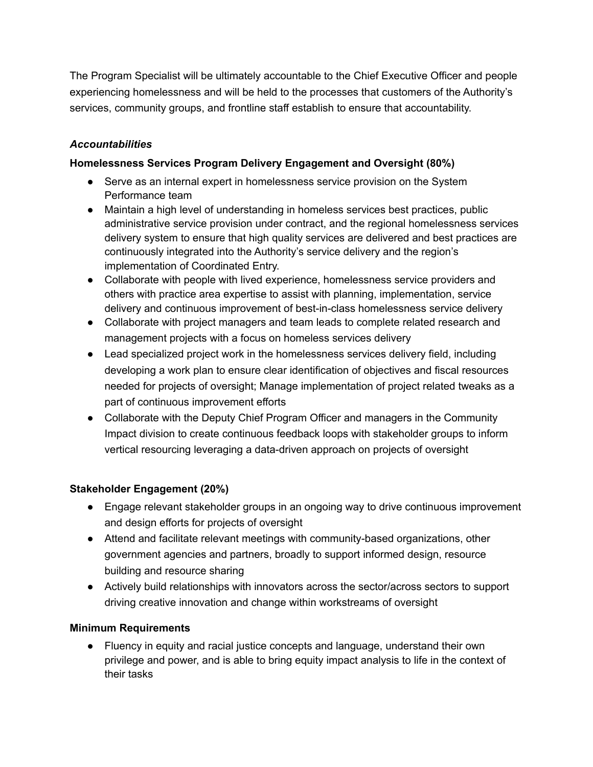The Program Specialist will be ultimately accountable to the Chief Executive Officer and people experiencing homelessness and will be held to the processes that customers of the Authority's services, community groups, and frontline staff establish to ensure that accountability.

# *Accountabilities*

# **Homelessness Services Program Delivery Engagement and Oversight (80%)**

- Serve as an internal expert in homelessness service provision on the System Performance team
- Maintain a high level of understanding in homeless services best practices, public administrative service provision under contract, and the regional homelessness services delivery system to ensure that high quality services are delivered and best practices are continuously integrated into the Authority's service delivery and the region's implementation of Coordinated Entry.
- Collaborate with people with lived experience, homelessness service providers and others with practice area expertise to assist with planning, implementation, service delivery and continuous improvement of best-in-class homelessness service delivery
- Collaborate with project managers and team leads to complete related research and management projects with a focus on homeless services delivery
- Lead specialized project work in the homelessness services delivery field, including developing a work plan to ensure clear identification of objectives and fiscal resources needed for projects of oversight; Manage implementation of project related tweaks as a part of continuous improvement efforts
- Collaborate with the Deputy Chief Program Officer and managers in the Community Impact division to create continuous feedback loops with stakeholder groups to inform vertical resourcing leveraging a data-driven approach on projects of oversight

### **Stakeholder Engagement (20%)**

- Engage relevant stakeholder groups in an ongoing way to drive continuous improvement and design efforts for projects of oversight
- Attend and facilitate relevant meetings with community-based organizations, other government agencies and partners, broadly to support informed design, resource building and resource sharing
- Actively build relationships with innovators across the sector/across sectors to support driving creative innovation and change within workstreams of oversight

### **Minimum Requirements**

● Fluency in equity and racial justice concepts and language, understand their own privilege and power, and is able to bring equity impact analysis to life in the context of their tasks